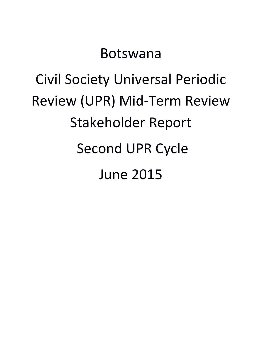## Botswana

# Civil Society Universal Periodic Review (UPR) Mid-Term Review Stakeholder Report Second UPR Cycle June 2015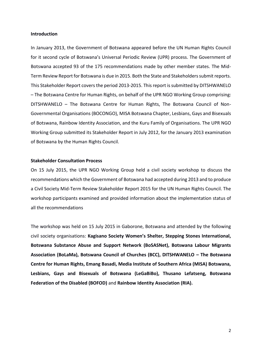#### **Introduction**

In January 2013, the Government of Botswana appeared before the UN Human Rights Council for it second cycle of Botswana's Universal Periodic Review (UPR) process. The Government of Botswana accepted 93 of the 175 recommendations made by other member states. The Mid-Term Review Report for Botswana is due in 2015. Both the State and Stakeholders submit reports. This Stakeholder Report covers the period 2013-2015. This report is submitted by DITSHWANELO – The Botswana Centre for Human Rights, on behalf of the UPR NGO Working Group comprising: DITSHWANELO – The Botswana Centre for Human Rights, The Botswana Council of Non-Governmental Organisations (BOCONGO), MISA Botswana Chapter, Lesbians, Gays and Bisexuals of Botswana, Rainbow Identity Association, and the Kuru Family of Organisations. The UPR NGO Working Group submitted its Stakeholder Report in July 2012, for the January 2013 examination of Botswana by the Human Rights Council.

#### **Stakeholder Consultation Process**

On 15 July 2015, the UPR NGO Working Group held a civil society workshop to discuss the recommendations which the Government of Botswana had accepted during 2013 and to produce a Civil Society Mid-Term Review Stakeholder Report 2015 for the UN Human Rights Council. The workshop participants examined and provided information about the implementation status of all the recommendations

The workshop was held on 15 July 2015 in Gaborone, Botswana and attended by the following civil society organisations: **Kagisano Society Women's Shelter, Stepping Stones International, Botswana Substance Abuse and Support Network (BoSASNet), Botswana Labour Migrants Association (BoLaMa), Botswana Council of Churches (BCC), DITSHWANELO – The Botswana Centre for Human Rights, Emang Basadi, Media Institute of Southern Africa (MISA) Botswana, Lesbians, Gays and Bisexuals of Botswana (LeGaBiBo), Thusano Lefatseng, Botswana Federation of the Disabled (BOFOD)** and **Rainbow Identity Association (RIA).**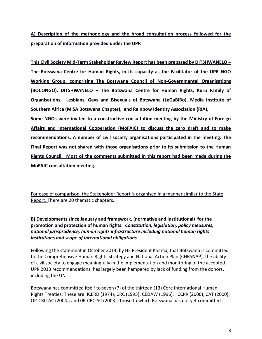**A) Description of the methodology and the broad consultation process followed for the preparation of information provided under the UPR**

**This Civil Society Mid-Term Stakeholder Review Report has been prepared by DITSHWANELO – The Botswana Centre for Human Rights, in its capacity as the Facilitator of the UPR NGO Working Group, comprising The Botswana Council of Non-Governmental Organisations (BOCONGO), DITSHWANELO – The Botswana Centre for Human Rights, Kuru Family of Organisations, Lesbians, Gays and Bisexuals of Botswana (LeGaBiBo), Media Institute of Southern Africa (MISA Botswana Chapter), and Rainbow Identity Association (RIA),** 

**Some NGOs were invited to a constructive consultation meeting by the Ministry of Foreign Affairs and International Cooperation (MoFAIC) to discuss the zero draft and to make recommendations. A number of civil society organisations participated in the meeting. The Final Report was not shared with those organisations prior to its submission to the Human Rights Council. Most of the comments submitted in this report had been made during the MoFAIC consultation meeting.**

For ease of comparison, the Stakeholder Report is organised in a manner similar to the State Report. There are 20 thematic chapters.

**B) Developments since January and framework, (normative and institutional) for the promotion and protection of human rights***. Constitution, legislation, policy measures, national jurisprudence, human rights infrastructure including national human rights institutions and scope of international obligations*

Following the statement in October 2014, by HE President Khama, that Botswana is committed to the Comprehensive Human Rights Strategy and National Action Plan (CHRSNAP), the ability of civil society to engage meaningfully in the implementation and monitoring of the accepted UPR 2013 recommendations, has largely been hampered by lack of funding from the donors, including the UN.

Botswana has committed itself to seven (7) of the thirteen (13) Core International Human Rights Treaties. These are: ICERD (1974); CRC (1995); CEDAW (1996); ICCPR (2000), CAT (2000); OP-CRC-AC (2004); and 0P-CRC-SC (2003). Those to which Botswana has not yet committed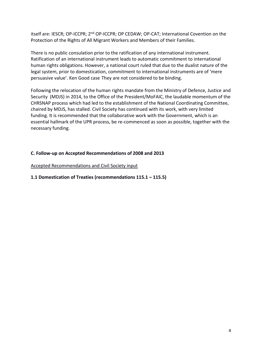itself are: IESCR; OP-ICCPR; 2<sup>nd</sup> OP-ICCPR; OP CEDAW; OP-CAT; International Covention on the Protection of the Rights of All Migrant Workers and Members of their Families.

There is no public consulation prior to the ratification of any international instrument. Ratification of an international instrument leads to automatic commitment to international human rights obligations. However, a national court ruled that due to the dualist nature of the legal system, prior to domestication, commitment to international instruments are of 'mere persuasive value'. Ken Good case They are not considered to be binding.

Following the relocation of the human rights mandate from the Ministry of Defence, Justice and Security (MDJS) in 2014, to the Office of the President/MoFAIC, the laudable momentum of the CHRSNAP process which had led to the establishment of the National Coordinating Committee, chaired by MDJS, has stalled. Civil Society has continued with its work, with very limited funding. It is recommended that the collaborative work with the Government, which is an essential hallmark of the UPR process, be re-commenced as soon as possible, together with the necessary funding.

#### **C. Follow-up on Accepted Recommendations of 2008 and 2013**

Accepted Recommendations and Civil Society input

#### **1.1 Domestication of Treaties (recommendations 115.1 – 115.5)**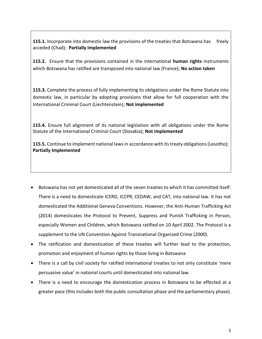**115.1.** Incorporate into domestic law the provisions of the treaties that Botswana has freely acceded (Chad); **Partially Implemented**

**115.2.** Ensure that the provisions contained in the international **human rights** instruments which Botswana has ratified are transposed into national law (France); **No action taken**

**115.3.** Complete the process of fully implementing its obligations under the Rome Statute into domestic law, in particular by adopting provisions that allow for full cooperation with the International Criminal Court (Liechtenstein); **Not implemented**

**115.4.** Ensure full alignment of its national legislation with all obligations under the Rome Statute of the International Criminal Court (Slovakia); **Not implemented**

**115.5.** Continue to implement national laws in accordance with its treaty obligations (Lesotho); **Partially Implemented**

- Botswana has not yet domesticated all of the seven treaties to which it has committed itself. There is a need to domesticate ICERD, ICCPR, CEDAW, and CAT, into national law. It has not domesticated the Additional Geneva Conventions. However, the Anti-Human Trafficking Act (2014) domesticates the Protocol to Prevent, Suppress and Punish Trafficking in Person, especially Women and Children, which Botswana ratified on 10 April 2002. The Protocol is a supplement to the UN Convention Against Transnational Organised Crime (2000).
- The ratification and domestication of these treaties will further lead to the protection, promotion and enjoyment of human rights by those living in Botswana
- There is a call by civil society for ratified international treaties to not only constitute 'mere persuasive value' in national courts until domesticated into national law.
- There is a need to encourage the domestication process in Botswana to be effected at a greater pace (this includes both the public consultation phase and the parliamentary phase).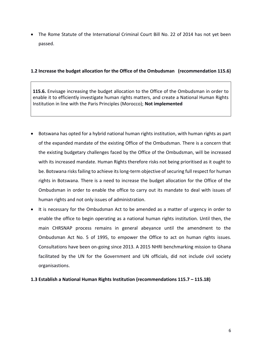• The Rome Statute of the International Criminal Court Bill No. 22 of 2014 has not yet been passed.

#### **1.2 Increase the budget allocation for the Office of the Ombudsman (recommendation 115.6)**

**115.6.** Envisage increasing the budget allocation to the Office of the Ombudsman in order to enable it to efficiently investigate human rights matters, and create a National Human Rights Institution in line with the Paris Principles (Morocco); **Not implemented**

- Botswana has opted for a hybrid national human rights institution, with human rights as part of the expanded mandate of the existing Office of the Ombudsman. There is a concern that the existing budgetary challenges faced by the Office of the Ombudsman, will be increased with its increased mandate. Human Rights therefore risks not being prioritised as it ought to be. Botswana risks failing to achieve its long-term objective of securing full respect for human rights in Botswana. There is a need to increase the budget allocation for the Office of the Ombudsman in order to enable the office to carry out its mandate to deal with issues of human rights and not only issues of administration.
- It is necessary for the Ombudsman Act to be amended as a matter of urgency in order to enable the office to begin operating as a national human rights institution. Until then, the main CHRSNAP process remains in general abeyance until the amendment to the Ombudsman Act No. 5 of 1995, to empower the Office to act on human rights issues. Consultations have been on-going since 2013. A 2015 NHRI benchmarking mission to Ghana facilitated by the UN for the Government and UN officials, did not include civil society organisastions.

#### **1.3 Establish a National Human Rights Institution (recommendations 115.7 – 115.18)**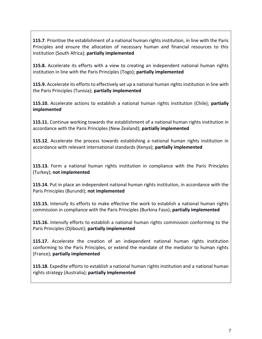**115.7**. Prioritise the establishment of a national human rights institution, in line with the Paris Principles and ensure the allocation of necessary human and financial resources to this institution (South Africa); **partially implemented**

**115.8.** Accelerate its efforts with a view to creating an independent national human rights institution in line with the Paris Principles (Togo); **partially implemented**

**115.9.** Accelerate its efforts to effectively set up a national human rights institution in line with the Paris Principles (Tunisia); **partially implemented**

**115.10.** Accelerate actions to establish a national human rights institution (Chile); **partially implemented**

**115.11.** Continue working towards the establishment of a national human rights institution in accordance with the Paris Principles (New Zealand); **partially implemented**

**115.12.** Accelerate the process towards establishing a national human rights institution in accordance with relevant international standards (Kenya); **partially implemented**

**115.13.** Form a national human rights institution in compliance with the Paris Principles (Turkey); **not implemented**

**115.14.** Put in place an independent national human rights institution, in accordance with the Paris Principles (Burundi); **not implemented**

**115.15.** Intensify its efforts to make effective the work to establish a national human rights commission in compliance with the Paris Principles (Burkina Faso); **partially implemented**

**115.16.** Intensify efforts to establish a national human rights commission conforming to the Paris Principles (Djibouti); **partially implemented**

**115.17.** Accelerate the creation of an independent national human rights institution conforming to the Paris Principles, or extend the mandate of the mediator to human rights (France); **partially implemented**

**115.18.** Expedite efforts to establish a national human rights institution and a national human rights strategy (Australia); **partially implemented**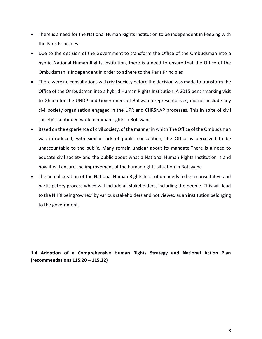- There is a need for the National Human Rights Institution to be independent in keeping with the Paris Principles.
- Due to the decision of the Government to transform the Office of the Ombudsman into a hybrid National Human Rights Institution, there is a need to ensure that the Office of the Ombudsman is independent in order to adhere to the Paris Principles
- There were no consultations with civil society before the decision was made to transform the Office of the Ombudsman into a hybrid Human Rights Institution. A 2015 benchmarking visit to Ghana for the UNDP and Government of Botswana representatives, did not include any civil society organisation engaged in the UPR and CHRSNAP processes. This in spite of civil society's continued work in human rights in Botswana
- Based on the experience of civil society, of the manner in which The Office of the Ombudsman was introduced, with similar lack of public consulation, the Office is perceived to be unaccountable to the public. Many remain unclear about its mandate.There is a need to educate civil society and the public about what a National Human Rights Institution is and how it will ensure the improvement of the human rights situation in Botswana
- The actual creation of the National Human Rights Institution needs to be a consultative and participatory process which will include all stakeholders, including the people. This will lead to the NHRI being 'owned' by various stakeholders and not viewed as an institution belonging to the government.

**1.4 Adoption of a Comprehensive Human Rights Strategy and National Action Plan (recommendations 115.20 – 115.22)**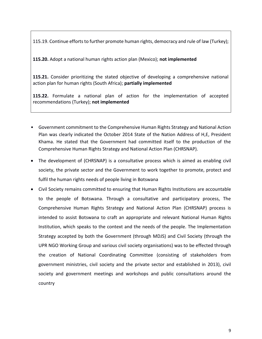115.19. Continue efforts to further promote human rights, democracy and rule of law (Turkey);

**115.20.** Adopt a national human rights action plan (Mexico); **not implemented**

**115.21.** Consider prioritizing the stated objective of developing a comprehensive national action plan for human rights (South Africa); **partially implemented**

**115.22.** Formulate a national plan of action for the implementation of accepted recommendations (Turkey); **not implemented**

- Government commitment to the Comprehensive Human Rights Strategy and National Action Plan was clearly indicated the October 2014 State of the Nation Address of H,E, President Khama. He stated that the Government had committed itself to the production of the Comprehensive Human Rights Strategy and National Action Plan (CHRSNAP).
- The development of (CHRSNAP) is a consultative process which is aimed as enabling civil society, the private sector and the Government to work together to promote, protect and fulfil the human rights needs of people living in Botswana
- Civil Society remains committed to ensuring that Human Rights Institutions are accountable to the people of Botswana. Through a consultative and participatory process, The Comprehensive Human Rights Strategy and National Action Plan (CHRSNAP) process is intended to assist Botswana to craft an appropriate and relevant National Human Rights Institution, which speaks to the context and the needs of the people. The Implementation Strategy accepted by both the Government (through MDJS) and Civil Society (through the UPR NGO Working Group and various civil society organisations) was to be effected through the creation of National Coordinating Committee (consisting of stakeholders from government ministries, civil society and the private sector and established in 2013), civil society and government meetings and workshops and public consultations around the country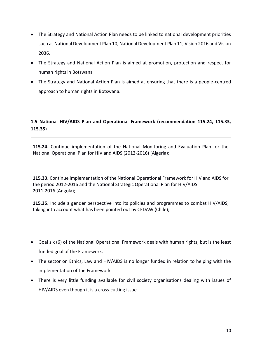- The Strategy and National Action Plan needs to be linked to national development priorities such as National Development Plan 10, National Development Plan 11, Vision 2016 and Vision 2036.
- The Strategy and National Action Plan is aimed at promotion, protection and respect for human rights in Botswana
- The Strategy and National Action Plan is aimed at ensuring that there is a people-centred approach to human rights in Botswana.

#### **1.5 National HIV/AIDS Plan and Operational Framework (recommendation 115.24, 115.33, 115.35)**

**115.24.** Continue implementation of the National Monitoring and Evaluation Plan for the National Operational Plan for HIV and AIDS (2012-2016) (Algeria);

**115.33.** Continue implementation of the National Operational Framework for HIV and AIDS for the period 2012-2016 and the National Strategic Operational Plan for HIV/AIDS 2011-2016 (Angola);

**115.35.** Include a gender perspective into its policies and programmes to combat HIV/AIDS, taking into account what has been pointed out by CEDAW (Chile);

- Goal six (6) of the National Operational Framework deals with human rights, but is the least funded goal of the Framework.
- The sector on Ethics, Law and HIV/AIDS is no longer funded in relation to helping with the implementation of the Framework.
- There is very little funding available for civil society organisations dealing with issues of HIV/AIDS even though it is a cross-cutting issue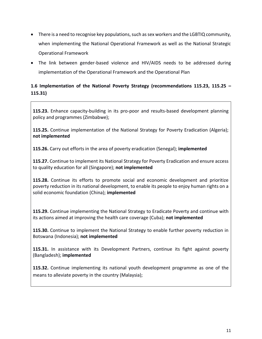- There is a need to recognise key populations, such as sex workers and the LGBTIQ community, when implementing the National Operational Framework as well as the National Strategic Operational Framework
- The link between gender-based violence and HIV/AIDS needs to be addressed during implementation of the Operational Framework and the Operational Plan

#### **1.6 Implementation of the National Poverty Strategy (recommendations 115.23, 115.25 – 115.31)**

**115.23.** Enhance capacity-building in its pro-poor and results-based development planning policy and programmes (Zimbabwe);

**115.25.** Continue implementation of the National Strategy for Poverty Eradication (Algeria); **not implemented**

**115.26.** Carry out efforts in the area of poverty eradication (Senegal); **implemented**

**115.27.** Continue to implement its National Strategy for Poverty Eradication and ensure access to quality education for all (Singapore); **not implemented**

**115.28.** Continue its efforts to promote social and economic development and prioritize poverty reduction in its national development, to enable its people to enjoy human rights on a solid economic foundation (China); **implemented**

**115.29.** Continue implementing the National Strategy to Eradicate Poverty and continue with its actions aimed at improving the health care coverage (Cuba); **not implemented**

**115.30.** Continue to implement the National Strategy to enable further poverty reduction in Botswana (Indonesia); **not implemented**

**115.31.** In assistance with its Development Partners, continue its fight against poverty (Bangladesh); **implemented**

**115.32.** Continue implementing its national youth development programme as one of the means to alleviate poverty in the country (Malaysia);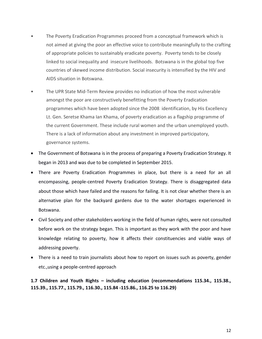- The Poverty Eradication Programmes proceed from a conceptual framework which is not aimed at giving the poor an effective voice to contribute meaningfully to the crafting of appropriate policies to sustainably eradicate poverty. Poverty tends to be closely linked to social inequality and insecure livelihoods. Botswana is in the global top five countries of skewed income distribution. Social insecurity is intensified by the HIV and AIDS situation in Botswana.
- The UPR State Mid-Term Review provides no indication of how the most vulnerable amongst the poor are constructively benefitting from the Poverty Eradication programmes which have been adopted since the 2008 identification, by His Excellency Lt. Gen. Seretse Khama Ian Khama, of poverty eradication as a flagship programme of the current Government. These include rural women and the urban unemployed youth. There is a lack of information about any investment in improved participatory, governance systems.
- The Government of Botswana is in the process of preparing a Poverty Eradication Strategy. It began in 2013 and was due to be completed in September 2015.
- There are Poverty Eradication Programmes in place, but there is a need for an all encompassing, people-centred Poverty Eradication Strategy. There is disaggregated data about those which have failed and the reasons for failing. It is not clear whether there is an alternative plan for the backyard gardens due to the water shortages experienced in Botswana.
- Civil Society and other stakeholders working in the field of human rights, were not consulted before work on the strategy began. This is important as they work with the poor and have knowledge relating to poverty, how it affects their constituencies and viable ways of addressing poverty.
- There is a need to train journalists about how to report on issues such as poverty, gender etc.,using a people-centred approach

**1.7 Children and Youth Rights – including education (recommendations 115.34., 115.38., 115.39., 115.77., 115.79., 116.30., 115.84 -115.86., 116.25 to 116.29)**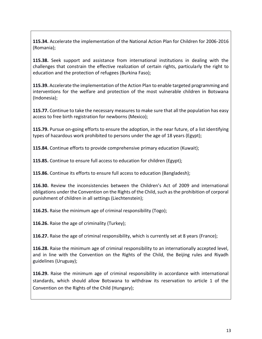**115.34.** Accelerate the implementation of the National Action Plan for Children for 2006-2016 (Romania);

**115.38.** Seek support and assistance from international institutions in dealing with the challenges that constrain the effective realization of certain rights, particularly the right to education and the protection of refugees (Burkina Faso);

**115.39.** Accelerate the implementation of the Action Plan to enable targeted programming and interventions for the welfare and protection of the most vulnerable children in Botswana (Indonesia);

**115.77.** Continue to take the necessary measures to make sure that all the population has easy access to free birth registration for newborns (Mexico);

**115.79.** Pursue on-going efforts to ensure the adoption, in the near future, of a list identifying types of hazardous work prohibited to persons under the age of 18 years (Egypt);

**115.84.** Continue efforts to provide comprehensive primary education (Kuwait);

**115.85.** Continue to ensure full access to education for children (Egypt);

**115.86.** Continue its efforts to ensure full access to education (Bangladesh);

**116.30.** Review the inconsistencies between the Children's Act of 2009 and international obligations under the Convention on the Rights of the Child, such as the prohibition of corporal punishment of children in all settings (Liechtenstein);

**116.25.** Raise the minimum age of criminal responsibility (Togo);

**116.26.** Raise the age of criminality (Turkey);

**116.27.** Raise the age of criminal responsibility, which is currently set at 8 years (France);

**116.28.** Raise the minimum age of criminal responsibility to an internationally accepted level, and in line with the Convention on the Rights of the Child, the Beijing rules and Riyadh guidelines (Uruguay);

**116.29.** Raise the minimum age of criminal responsibility in accordance with international standards, which should allow Botswana to withdraw its reservation to article 1 of the Convention on the Rights of the Child (Hungary);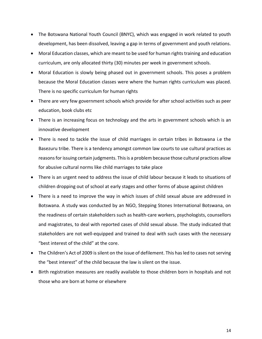- The Botswana National Youth Council (BNYC), which was engaged in work related to youth development, has been dissolved, leaving a gap in terms of government and youth relations.
- Moral Education classes, which are meant to be used for human rights training and education curriculum, are only allocated thirty (30) minutes per week in government schools.
- Moral Education is slowly being phased out in government schools. This poses a problem because the Moral Education classes were where the human rights curriculum was placed. There is no specific curriculum for human rights
- There are very few government schools which provide for after school activities such as peer education, book clubs etc
- There is an increasing focus on technology and the arts in government schools which is an innovative development
- There is need to tackle the issue of child marriages in certain tribes in Botswana i.e the Basezuru tribe. There is a tendency amongst common law courts to use cultural practices as reasons for issuing certain judgments. This is a problem because those cultural practices allow for abusive cultural norms like child marriages to take place
- There is an urgent need to address the issue of child labour because it leads to situations of children dropping out of school at early stages and other forms of abuse against children
- There is a need to improve the way in which issues of child sexual abuse are addressed in Botswana. A study was conducted by an NGO, Stepping Stones International Botswana, on the readiness of certain stakeholders such as health-care workers, psychologists, counsellors and magistrates, to deal with reported cases of child sexual abuse. The study indicated that stakeholders are not well-equipped and trained to deal with such cases with the necessary "best interest of the child" at the core.
- The Children's Act of 2009 is silent on the issue of defilement. This has led to cases not serving the "best interest" of the child because the law is silent on the issue.
- Birth registration measures are readily available to those children born in hospitals and not those who are born at home or elsewhere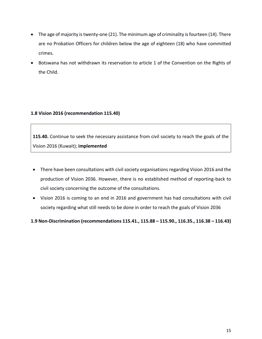- The age of majority is twenty-one (21). The minimum age of criminality is fourteen (14). There are no Probation Officers for children below the age of eighteen (18) who have committed crimes.
- Botswana has not withdrawn its reservation to article 1 of the Convention on the Rights of the Child.

#### **1.8 Vision 2016 (recommendation 115.40)**

**115.40.** Continue to seek the necessary assistance from civil society to reach the goals of the Vision 2016 (Kuwait); **implemented**

- There have been consultations with civil society organisations regarding Vision 2016 and the production of Vision 2036. However, there is no established method of reporting-back to civil society concerning the outcome of the consultations.
- Vision 2016 is coming to an end in 2016 and government has had consultations with civil society regarding what still needs to be done in order to reach the goals of Vision 2036

#### **1.9 Non-Discrimination (recommendations 115.41., 115.88 – 115.90., 116.35., 116.38 – 116.43)**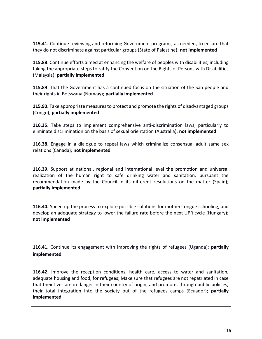**115.41.** Continue reviewing and reforming Government programs, as needed, to ensure that they do not discriminate against particular groups (State of Palestine); **not implemented**

**115.88**. Continue efforts aimed at enhancing the welfare of peoples with disabilities, including taking the appropriate steps to ratify the Convention on the Rights of Persons with Disabilities (Malaysia); **partially implemented**

**115.89**. That the Government has a continued focus on the situation of the San people and their rights in Botswana (Norway); **partially implemented**

**115.90.** Take appropriate measures to protect and promote the rights of disadvantaged groups (Congo); **partially implemented**

**116.35.** Take steps to implement comprehensive anti-discrimination laws, particularly to eliminate discrimination on the basis of sexual orientation (Australia); **not implemented**

**116.38.** Engage in a dialogue to repeal laws which criminalize consensual adult same sex relations (Canada); **not implemented**

**116.39.** Support at national, regional and international level the promotion and universal realization of the human right to safe drinking water and sanitation, pursuant the recommendation made by the Council in its different resolutions on the matter (Spain); **partially implemented**

**116.40.** Speed up the process to explore possible solutions for mother-tongue schooling, and develop an adequate strategy to lower the failure rate before the next UPR cycle (Hungary); **not implemented**

**116.41.** Continue its engagement with improving the rights of refugees (Uganda); **partially implemented**

**116.42.** Improve the reception conditions, health care, access to water and sanitation, adequate housing and food, for refugees; Make sure that refugees are not repatriated in case that their lives are in danger in their country of origin, and promote, through public policies, their total integration into the society out of the refugees camps (Ecuador); **partially implemented**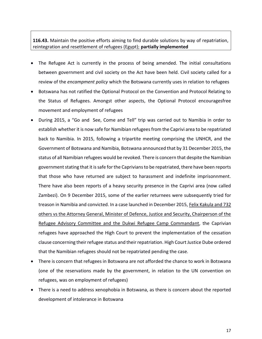#### **116.43.** Maintain the positive efforts aiming to find durable solutions by way of repatriation, reintegration and resettlement of refugees (Egypt); **partially implemented**

- The Refugee Act is currently in the process of being amended. The initial consultations between government and civil society on the Act have been held. Civil society called for a review of the *encampment policy* which the Botswana currently uses in relation to refugees
- Botswana has not ratified the Optional Protocol on the Convention and Protocol Relating to the Status of Refugees. Amongst other aspects, the Optional Protocol encouragesfree movement and employment of refugees
- During 2015, a "Go and See, Come and Tell" trip was carried out to Namibia in order to establish whether it is now safe for Namibian refugees from the Caprivi area to be repatriated back to Namibia. In 2015, following a tripartite meeting comprising the UNHCR, and the Government of Botswana and Namibia, Botswana announced that by 31 December 2015, the status of all Namibian refugees would be revoked. There is concern that despite the Namibian government stating that it is safe for the Caprivians to be repatriated, there have been reports that those who have returned are subject to harassment and indefinite imprisonnment. There have also been reports of a heavy security presence in the Caprivi area (now called Zambezi). On 9 December 2015, some of the earlier returnees were subsequently tried for treason in Namibia and convicted. In a case launched in December 2015, Felix Kakula and 732 others vs the Attorney General, Minister of Defence, Justice and Security, Chairperson of the Refugee Advisory Committee and the Dukwi Refugee Camp Commandant, the Caprivian refugees have approached the High Court to prevent the implementation of the cessation clause concerning their refugee status and their repatriation. High Court Justice Dube ordered that the Namibian refugees should not be repatriated pending the case.
- There is concern that refugees in Botswana are not afforded the chance to work in Botswana (one of the reservations made by the government, in relation to the UN convention on refugees, was on employment of refugees)
- There is a need to address xenophobia in Botswana, as there is concern about the reported development of intolerance in Botswana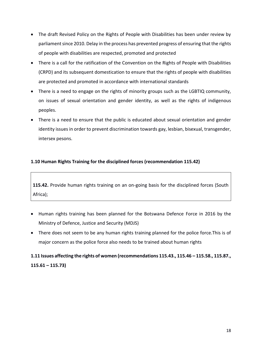- The draft Revised Policy on the Rights of People with Disabilities has been under review by parliament since 2010. Delay in the process has prevented progress of ensuring that the rights of people with disabilities are respected, promoted and protected
- There is a call for the ratification of the Convention on the Rights of People with Disabilities (CRPD) and its subsequent domestication to ensure that the rights of people with disabilities are protected and promoted in accordance with international standards
- There is a need to engage on the rights of minority groups such as the LGBTIQ community, on issues of sexual orientation and gender identity, as well as the rights of indigenous peoples.
- There is a need to ensure that the public is educated about sexual orientation and gender identity issues in order to prevent discrimination towards gay, lesbian, bisexual, transgender, intersex pesons.

#### **1.10 Human Rights Training for the disciplined forces (recommendation 115.42)**

**115.42.** Provide human rights training on an on-going basis for the disciplined forces (South Africa);

- Human rights training has been planned for the Botswana Defence Force in 2016 by the Ministry of Defence, Justice and Security (MDJS)
- There does not seem to be any human rights training planned for the police force.This is of major concern as the police force also needs to be trained about human rights

### **1.11 Issues affecting the rights of women (recommendations 115.43., 115.46 – 115.58., 115.87., 115.61 – 115.73)**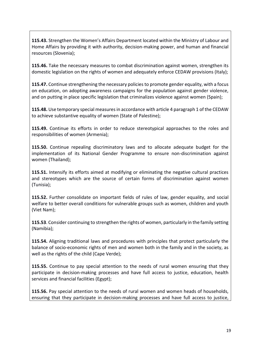**115.43.** Strengthen the Women's Affairs Department located within the Ministry of Labour and Home Affairs by providing it with authority, decision-making power, and human and financial resources (Slovenia);

**115.46.** Take the necessary measures to combat discrimination against women, strengthen its domestic legislation on the rights of women and adequately enforce CEDAW provisions (Italy);

**115.47.** Continue strengthening the necessary policies to promote gender equality, with a focus on education, on adopting awareness campaigns for the population against gender violence, and on putting in place specific legislation that criminalizes violence against women (Spain);

**115.48.** Use temporary special measures in accordance with article 4 paragraph 1 of the CEDAW to achieve substantive equality of women (State of Palestine);

**115.49.** Continue its efforts in order to reduce stereotypical approaches to the roles and responsibilities of women (Armenia);

**115.50.** Continue repealing discriminatory laws and to allocate adequate budget for the implementation of its National Gender Programme to ensure non-discrimination against women (Thailand);

**115.51.** Intensify its efforts aimed at modifying or eliminating the negative cultural practices and stereotypes which are the source of certain forms of discrimination against women (Tunisia);

**115.52.** Further consolidate on important fields of rules of law, gender equality, and social welfare to better overall conditions for vulnerable groups such as women, children and youth (Viet Nam);

**115.53**. Consider continuing to strengthen the rights of women, particularly in the family setting (Namibia);

**115.54.** Aligning traditional laws and procedures with principles that protect particularly the balance of socio-economic rights of men and women both in the family and in the society, as well as the rights of the child (Cape Verde);

**115.55.** Continue to pay special attention to the needs of rural women ensuring that they participate in decision-making processes and have full access to justice, education, health services and financial facilities (Egypt);

**115.56.** Pay special attention to the needs of rural women and women heads of households, ensuring that they participate in decision-making processes and have full access to justice,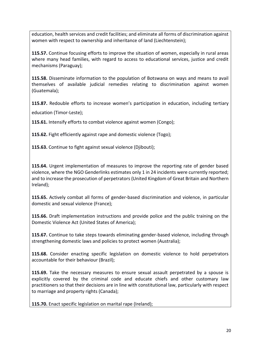education, health services and credit facilities; and eliminate all forms of discrimination against women with respect to ownership and inheritance of land (Liechtenstein);

**115.57.** Continue focusing efforts to improve the situation of women, especially in rural areas where many head families, with regard to access to educational services, justice and credit mechanisms (Paraguay);

**115.58.** Disseminate information to the population of Botswana on ways and means to avail themselves of available judicial remedies relating to discrimination against women (Guatemala);

**115.87.** Redouble efforts to increase women's participation in education, including tertiary

education (Timor-Leste);

**115.61.** Intensify efforts to combat violence against women (Congo);

**115.62.** Fight efficiently against rape and domestic violence (Togo);

**115.63.** Continue to fight against sexual violence (Djibouti);

**115.64.** Urgent implementation of measures to improve the reporting rate of gender based violence, where the NGO Genderlinks estimates only 1 in 24 incidents were currently reported; and to increase the prosecution of perpetrators (United Kingdom of Great Britain and Northern Ireland);

**115.65.** Actively combat all forms of gender-based discrimination and violence, in particular domestic and sexual violence (France);

**115.66.** Draft implementation instructions and provide police and the public training on the Domestic Violence Act (United States of America);

**115.67.** Continue to take steps towards eliminating gender-based violence, including through strengthening domestic laws and policies to protect women (Australia);

**115.68.** Consider enacting specific legislation on domestic violence to hold perpetrators accountable for their behaviour (Brazil);

**115.69.** Take the necessary measures to ensure sexual assault perpetrated by a spouse is explicitly covered by the criminal code and educate chiefs and other customary law practitioners so that their decisions are in line with constitutional law, particularly with respect to marriage and property rights (Canada);

**115.70.** Enact specific legislation on marital rape (Ireland);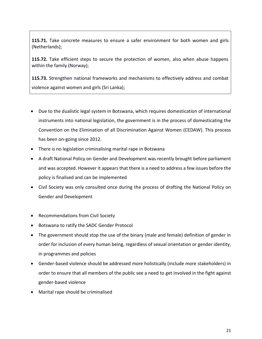**115.71.** Take concrete measures to ensure a safer environment for both women and girls (Netherlands);

**115.72.** Take efficient steps to secure the protection of women, also when abuse happens within the family (Norway);

**115.73.** Strengthen national frameworks and mechanisms to effectively address and combat violence against women and girls (Sri Lanka);

- Due to the dualistic legal system in Botswana, which requires domestication of international instruments into national legislation, the government is in the process of domesticating the Convention on the Elimination of all Discrimination Against Women (CEDAW). This process has been on-going since 2012.
- There is no legislation criminalising marital rape in Botswana
- A draft National Policy on Gender and Development was recently brought before parliament and was accepted. However it appears that there is a need to address a few issues before the policy is finalised and can be implemented
- Civil Society was only consulted once during the process of drafting the National Policy on Gender and Development
- Recommendations from Civil Society
- Botswana to ratify the SADC Gender Protocol
- The government should stop the use of the binary (male and female) definition of gender in order for inclusion of every human being, regardless of sexual orientation or gender identity, in programmes and policies
- Gender-based violence should be addressed more holistically (include more stakeholders) in order to ensure that all members of the public see a need to get involved in the fight against gender-based violence
- Marital rape should be criminalised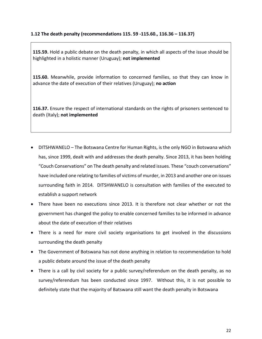#### **1.12 The death penalty (recommendations 115. 59 -115.60., 116.36 – 116.37)**

**115.59.** Hold a public debate on the death penalty, in which all aspects of the issue should be highlighted in a holistic manner (Uruguay); **not implemented**

**115.60.** Meanwhile, provide information to concerned families, so that they can know in advance the date of execution of their relatives (Uruguay); **no action**

**116.37.** Ensure the respect of international standards on the rights of prisoners sentenced to death (Italy); **not implemented**

- DITSHWANELO The Botswana Centre for Human Rights, is the only NGO in Botswana which has, since 1999, dealt with and addresses the death penalty. Since 2013, it has been holding "Couch Conservations" on The death penalty and related issues. These "couch conversations" have included one relating to families of victims of murder, in 2013 and another one on issues surrounding faith in 2014. DITSHWANELO is consultation with families of the executed to establish a support network
- There have been no executions since 2013. It is therefore not clear whether or not the government has changed the policy to enable concerned families to be informed in advance about the date of execution of their relatives
- There is a need for more civil society organisations to get involved in the discussions surrounding the death penalty
- The Government of Botswana has not done anything in relation to recommendation to hold a public debate around the issue of the death penalty
- There is a call by civil society for a public survey/referendum on the death penalty, as no survey/referendum has been conducted since 1997. Without this, it is not possible to definitely state that the majority of Batswana still want the death penalty in Botswana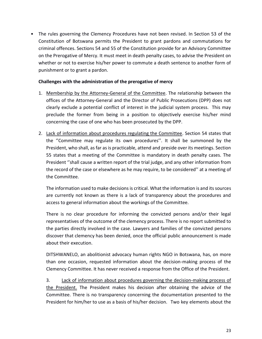• The rules governing the Clemency Procedures have not been revised. In Section 53 of the Constitution of Botswana permits the President to grant pardons and commutations for criminal offences. Sections 54 and 55 of the Constitution provide for an Advisory Committee on the Prerogative of Mercy. It must meet in death penalty cases, to advise the President on whether or not to exercise his/her power to commute a death sentence to another form of punishment or to grant a pardon.

#### **Challenges with the administration of the prerogative of mercy**

- 1. Membership by the Attorney-General of the Committee. The relationship between the offices of the Attorney-General and the Director of Public Prosecutions (DPP) does not clearly exclude a potential conflict of interest in the judicial system process. This may preclude the former from being in a position to objectively exercise his/her mind concerning the case of one who has been prosecuted by the DPP.
- 2. Lack of information about procedures regulating the Committee. Section 54 states that the ''Committee may regulate its own procedures''. It shall be summoned by the President, who shall, as far as is practicable, attend and preside over its meetings. Section 55 states that a meeting of the Committee is mandatory in death penalty cases. The President ''shall cause a written report of the trial judge, and any other information from the record of the case or elsewhere as he may require, to be considered'' at a meeting of the Committee.

The information used to make decisions is critical. What the information is and its sources are currently not known as there is a lack of transparency about the procedures and access to general information about the workings of the Committee.

There is no clear procedure for informing the convicted persons and/or their legal representatives of the outcome of the clemency process. There is no report submitted to the parties directly involved in the case. Lawyers and families of the convicted persons discover that clemency has been denied, once the official public announcement is made about their execution.

DITSHWANELO, an abolitionist advocacy human rights NGO in Botswana, has, on more than one occasion, requested information about the decision-making process of the Clemency Committee. It has never received a response from the Office of the President.

3. Lack of information about procedures governing the decision-making process of the President. The President makes his decision after obtaining the advice of the Committee. There is no transparency concerning the documentation presented to the President for him/her to use as a basis of his/her decision. Two key elements about the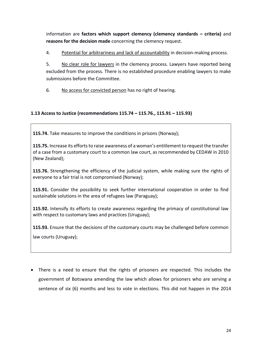information are **factors which support clemency (clemency standards – criteria)** and **reasons for the decision made** concerning the clemency request.

4. Potential for arbitrariness and lack of accountability in decision-making process.

5. No clear role for lawyers in the clemency process. Lawyers have reported being excluded from the process. There is no established procedure enabling lawyers to make submissions before the Committee.

6. No access for convicted person has no right of hearing.

#### **1.13 Access to Justice (recommendations 115.74 – 115.76., 115.91 – 115.93)**

**115.74.** Take measures to improve the conditions in prisons (Norway);

**115.75.** Increase its efforts to raise awareness of a woman's entitlement to request the transfer of a case from a customary court to a common law court, as recommended by CEDAW in 2010 (New Zealand);

**115.76.** Strengthening the efficiency of the judicial system, while making sure the rights of everyone to a fair trial is not compromised (Norway);

**115.91.** Consider the possibility to seek further international cooperation in order to find sustainable solutions in the area of refugees law (Paraguay);

**115.92.** Intensify its efforts to create awareness regarding the primacy of constitutional law with respect to customary laws and practices (Uruguay);

**115.93.** Ensure that the decisions of the customary courts may be challenged before common

law courts (Uruguay);

• There is a need to ensure that the rights of prisoners are respected. This includes the government of Botswana amending the law which allows for prisoners who are serving a sentence of six (6) months and less to vote in elections. This did not happen in the 2014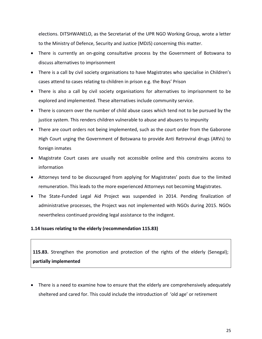elections. DITSHWANELO, as the Secretariat of the UPR NGO Working Group, wrote a letter to the Ministry of Defence, Security and Justice (MDJS) concerning this matter.

- There is currently an on-going consultative process by the Government of Botswana to discuss alternatives to imprisonment
- There is a call by civil society organisations to have Magistrates who specialise in Children's cases attend to cases relating to children in prison e.g. the Boys' Prison
- There is also a call by civil society organisations for alternatives to imprisonment to be explored and implemented. These alternatives include community service.
- There is concern over the number of child abuse cases which tend not to be pursued by the justice system. This renders children vulnerable to abuse and abusers to impunity
- There are court orders not being implemented, such as the court order from the Gaborone High Court urging the Government of Botswana to provide Anti Retroviral drugs (ARVs) to foreign inmates
- Magistrate Court cases are usually not accessible online and this constrains access to information
- Attorneys tend to be discouraged from applying for Magistrates' posts due to the limited remuneration. This leads to the more experienced Attorneys not becoming Magistrates.
- The State-Funded Legal Aid Project was suspended in 2014. Pending finalization of administrative processes, the Project was not implemented with NGOs during 2015. NGOs nevertheless continued providing legal assistance to the indigent.

#### **1.14 Issues relating to the elderly (recommendation 115.83)**

**115.83.** Strengthen the promotion and protection of the rights of the elderly (Senegal); **partially implemented**

• There is a need to examine how to ensure that the elderly are comprehensively adequately sheltered and cared for. This could include the introduction of 'old age' or retirement